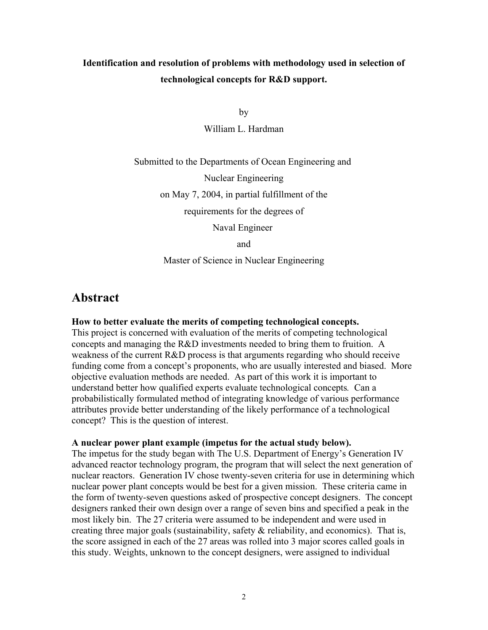# **Identification and resolution of problems with methodology used in selection of technological concepts for R&D support.**

by

William L. Hardman

Submitted to the Departments of Ocean Engineering and

Nuclear Engineering

on May 7, 2004, in partial fulfillment of the

requirements for the degrees of

Naval Engineer

and

Master of Science in Nuclear Engineering

## **Abstract**

#### **How to better evaluate the merits of competing technological concepts.**

This project is concerned with evaluation of the merits of competing technological concepts and managing the R&D investments needed to bring them to fruition. A weakness of the current R&D process is that arguments regarding who should receive funding come from a concept's proponents, who are usually interested and biased. More objective evaluation methods are needed. As part of this work it is important to understand better how qualified experts evaluate technological concepts*.* Can a probabilistically formulated method of integrating knowledge of various performance attributes provide better understanding of the likely performance of a technological concept? This is the question of interest.

#### **A nuclear power plant example (impetus for the actual study below).**

The impetus for the study began with The U.S. Department of Energy's Generation IV advanced reactor technology program, the program that will select the next generation of nuclear reactors. Generation IV chose twenty-seven criteria for use in determining which nuclear power plant concepts would be best for a given mission. These criteria came in the form of twenty-seven questions asked of prospective concept designers. The concept designers ranked their own design over a range of seven bins and specified a peak in the most likely bin. The 27 criteria were assumed to be independent and were used in creating three major goals (sustainability, safety & reliability, and economics). That is, the score assigned in each of the 27 areas was rolled into 3 major scores called goals in this study. Weights, unknown to the concept designers, were assigned to individual